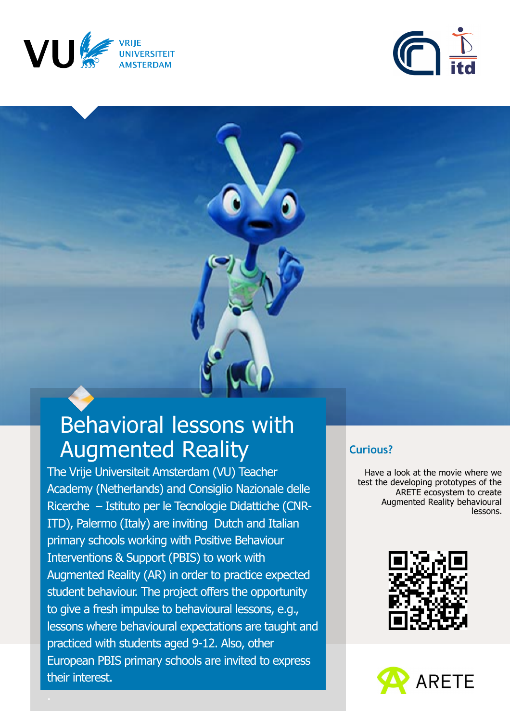





# Behavioral lessons with Augmented Reality

The Vrije Universiteit Amsterdam (VU) Teacher Academy (Netherlands) and Consiglio Nazionale delle Ricerche – Istituto per le Tecnologie Didattiche (CNR-ITD), Palermo (Italy) are inviting Dutch and Italian primary schools working with Positive Behaviour Interventions & Support (PBIS) to work with Augmented Reality (AR) in order to practice expected student behaviour. The project offers the opportunity to give a fresh impulse to behavioural lessons, e.g., lessons where behavioural expectations are taught and practiced with students aged 9-12. Also, other European PBIS primary schools are invited to express their interest.

#### **Curious?**

Have a look at the movie where we test the developing prototypes of the ARETE ecosystem to create Augmented Reality behavioural lessons.